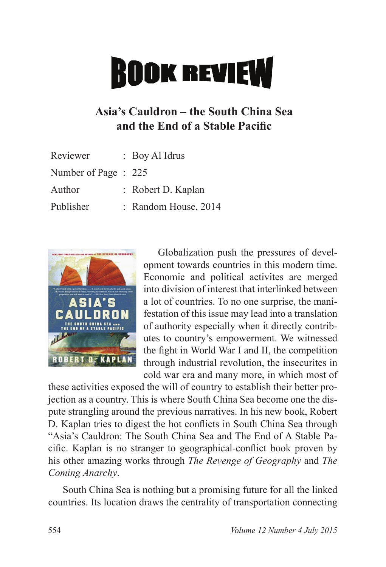## **ROOK REVIEW**

## **Asia's Cauldron – the South China Sea**  and the End of a Stable Pacific

| Reviewer             | $\therefore$ Boy Al Idrus |
|----------------------|---------------------------|
| Number of Page : 225 |                           |
| Author               | : Robert D. Kaplan        |
| Publisher            | : Random House, 2014      |
|                      |                           |



Globalization push the pressures of development towards countries in this modern time. Economic and political activites are merged into division of interest that interlinked between a lot of countries. To no one surprise, the manifestation of this issue may lead into a translation of authority especially when it directly contributes to country's empowerment. We witnessed the fight in World War I and II, the competition through industrial revolution, the insecurites in cold war era and many more, in which most of

these activities exposed the will of country to establish their better projection as a country. This is where South China Sea become one the dispute strangling around the previous narratives. In his new book, Robert D. Kaplan tries to digest the hot conflicts in South China Sea through "Asia's Cauldron: The South China Sea and The End of A Stable Pacific. Kaplan is no stranger to geographical-conflict book proven by his other amazing works through *The Revenge of Geography* and *The Coming Anarchy*.

South China Sea is nothing but a promising future for all the linked countries. Its location draws the centrality of transportation connecting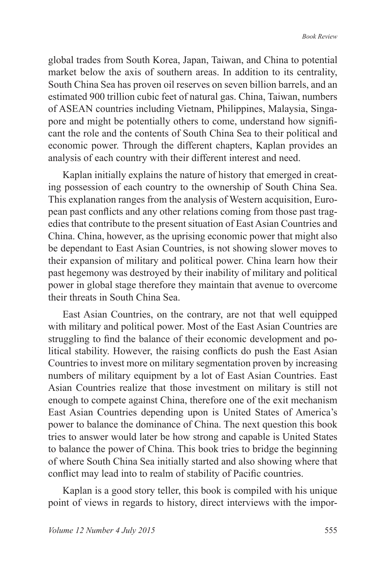global trades from South Korea, Japan, Taiwan, and China to potential market below the axis of southern areas. In addition to its centrality, South China Sea has proven oil reserves on seven billion barrels, and an estimated 900 trillion cubic feet of natural gas. China, Taiwan, numbers of ASEAN countries including Vietnam, Philippines, Malaysia, Singapore and might be potentially others to come, understand how significant the role and the contents of South China Sea to their political and economic power. Through the different chapters, Kaplan provides an analysis of each country with their different interest and need.

Kaplan initially explains the nature of history that emerged in creating possession of each country to the ownership of South China Sea. This explanation ranges from the analysis of Western acquisition, European past conflicts and any other relations coming from those past tragedies that contribute to the present situation of East Asian Countries and China. China, however, as the uprising economic power that might also be dependant to East Asian Countries, is not showing slower moves to their expansion of military and political power. China learn how their past hegemony was destroyed by their inability of military and political power in global stage therefore they maintain that avenue to overcome their threats in South China Sea.

East Asian Countries, on the contrary, are not that well equipped with military and political power. Most of the East Asian Countries are struggling to find the balance of their economic development and political stability. However, the raising conflicts do push the East Asian Countries to invest more on military segmentation proven by increasing numbers of military equipment by a lot of East Asian Countries. East Asian Countries realize that those investment on military is still not enough to compete against China, therefore one of the exit mechanism East Asian Countries depending upon is United States of America's power to balance the dominance of China. The next question this book tries to answer would later be how strong and capable is United States to balance the power of China. This book tries to bridge the beginning of where South China Sea initially started and also showing where that conflict may lead into to realm of stability of Pacific countries.

Kaplan is a good story teller, this book is compiled with his unique point of views in regards to history, direct interviews with the impor